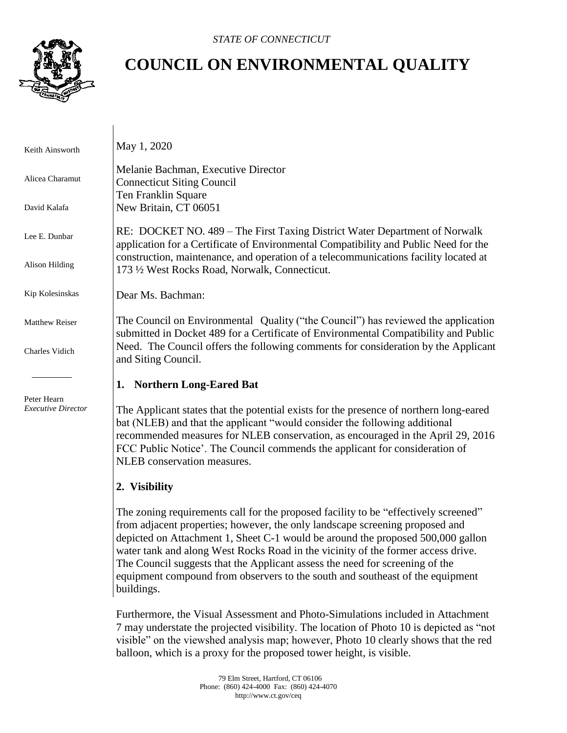

## **COUNCIL ON ENVIRONMENTAL QUALITY**

 Keith Ainsworth Alicea Charamut David Kalafa Lee E. Dunbar Alison Hilding Kip Kolesinskas Matthew Reiser Charles Vidich Peter Hearn *Executive Director* May 1, 2020 Melanie Bachman, Executive Director Connecticut Siting Council Ten Franklin Square New Britain, CT 06051 RE: DOCKET NO. 489 – The First Taxing District Water Department of Norwalk application for a Certificate of Environmental Compatibility and Public Need for the construction, maintenance, and operation of a telecommunications facility located at 173 ½ West Rocks Road, Norwalk, Connecticut. Dear Ms. Bachman: The Council on Environmental Quality ("the Council") has reviewed the application submitted in Docket 489 for a Certificate of Environmental Compatibility and Public Need. The Council offers the following comments for consideration by the Applicant and Siting Council. **1. Northern Long-Eared Bat** The Applicant states that the potential exists for the presence of northern long-eared bat (NLEB) and that the applicant "would consider the following additional recommended measures for NLEB conservation, as encouraged in the April 29, 2016 FCC Public Notice'. The Council commends the applicant for consideration of NLEB conservation measures. **2. Visibility** The zoning requirements call for the proposed facility to be "effectively screened" from adjacent properties; however, the only landscape screening proposed and

depicted on Attachment 1, Sheet C-1 would be around the proposed 500,000 gallon water tank and along West Rocks Road in the vicinity of the former access drive. The Council suggests that the Applicant assess the need for screening of the equipment compound from observers to the south and southeast of the equipment buildings.

Furthermore, the Visual Assessment and Photo-Simulations included in Attachment 7 may understate the projected visibility. The location of Photo 10 is depicted as "not visible" on the viewshed analysis map; however, Photo 10 clearly shows that the red balloon, which is a proxy for the proposed tower height, is visible.